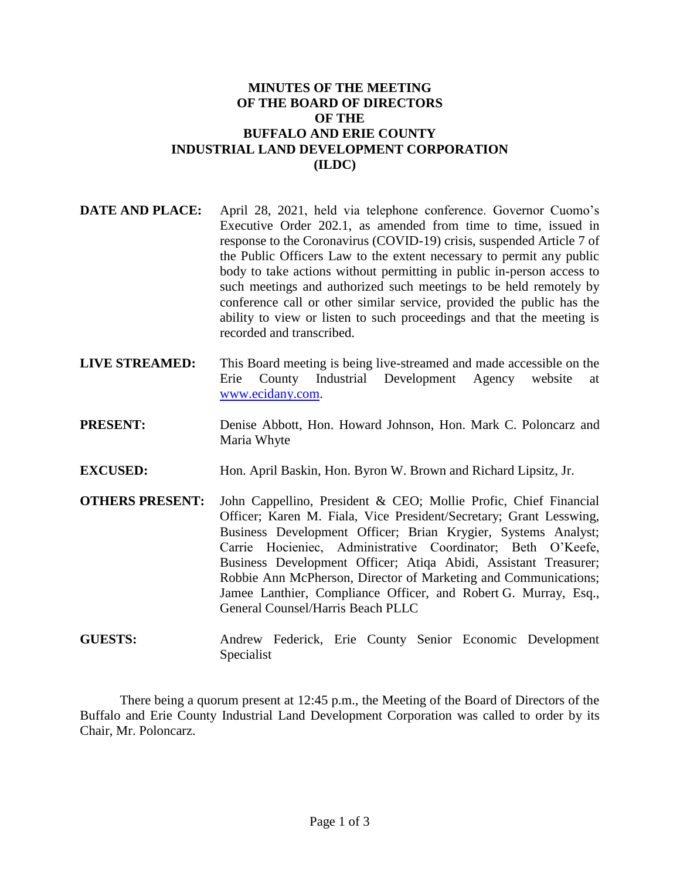## **MINUTES OF THE MEETING OF THE BOARD OF DIRECTORS OF THE BUFFALO AND ERIE COUNTY INDUSTRIAL LAND DEVELOPMENT CORPORATION (ILDC)**

- **DATE AND PLACE:** April 28, 2021, held via telephone conference. Governor Cuomo's Executive Order 202.1, as amended from time to time, issued in response to the Coronavirus (COVID-19) crisis, suspended Article 7 of the Public Officers Law to the extent necessary to permit any public body to take actions without permitting in public in-person access to such meetings and authorized such meetings to be held remotely by conference call or other similar service, provided the public has the ability to view or listen to such proceedings and that the meeting is recorded and transcribed.
- **LIVE STREAMED:** This Board meeting is being live-streamed and made accessible on the Erie County Industrial Development Agency website at [www.ecidany.com.](http://www.ecidany.com/)
- **PRESENT:** Denise Abbott, Hon. Howard Johnson, Hon. Mark C. Poloncarz and Maria Whyte
- **EXCUSED:** Hon. April Baskin, Hon. Byron W. Brown and Richard Lipsitz, Jr.
- **OTHERS PRESENT:** John Cappellino, President & CEO; Mollie Profic, Chief Financial Officer; Karen M. Fiala, Vice President/Secretary; Grant Lesswing, Business Development Officer; Brian Krygier, Systems Analyst; Carrie Hocieniec, Administrative Coordinator; Beth O'Keefe, Business Development Officer; Atiqa Abidi, Assistant Treasurer; Robbie Ann McPherson, Director of Marketing and Communications; Jamee Lanthier, Compliance Officer, and Robert G. Murray, Esq., General Counsel/Harris Beach PLLC
- **GUESTS:** Andrew Federick, Erie County Senior Economic Development Specialist

There being a quorum present at 12:45 p.m., the Meeting of the Board of Directors of the Buffalo and Erie County Industrial Land Development Corporation was called to order by its Chair, Mr. Poloncarz.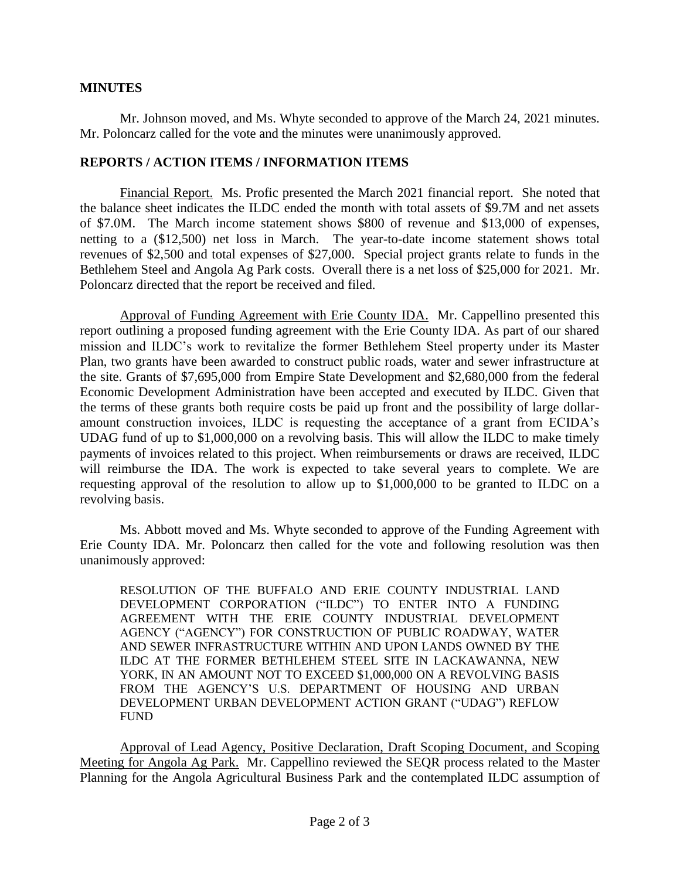## **MINUTES**

Mr. Johnson moved, and Ms. Whyte seconded to approve of the March 24, 2021 minutes. Mr. Poloncarz called for the vote and the minutes were unanimously approved.

## **REPORTS / ACTION ITEMS / INFORMATION ITEMS**

Financial Report. Ms. Profic presented the March 2021 financial report. She noted that the balance sheet indicates the ILDC ended the month with total assets of \$9.7M and net assets of \$7.0M. The March income statement shows \$800 of revenue and \$13,000 of expenses, netting to a (\$12,500) net loss in March. The year-to-date income statement shows total revenues of \$2,500 and total expenses of \$27,000. Special project grants relate to funds in the Bethlehem Steel and Angola Ag Park costs. Overall there is a net loss of \$25,000 for 2021. Mr. Poloncarz directed that the report be received and filed.

Approval of Funding Agreement with Erie County IDA. Mr. Cappellino presented this report outlining a proposed funding agreement with the Erie County IDA. As part of our shared mission and ILDC's work to revitalize the former Bethlehem Steel property under its Master Plan, two grants have been awarded to construct public roads, water and sewer infrastructure at the site. Grants of \$7,695,000 from Empire State Development and \$2,680,000 from the federal Economic Development Administration have been accepted and executed by ILDC. Given that the terms of these grants both require costs be paid up front and the possibility of large dollaramount construction invoices, ILDC is requesting the acceptance of a grant from ECIDA's UDAG fund of up to \$1,000,000 on a revolving basis. This will allow the ILDC to make timely payments of invoices related to this project. When reimbursements or draws are received, ILDC will reimburse the IDA. The work is expected to take several years to complete. We are requesting approval of the resolution to allow up to \$1,000,000 to be granted to ILDC on a revolving basis.

Ms. Abbott moved and Ms. Whyte seconded to approve of the Funding Agreement with Erie County IDA. Mr. Poloncarz then called for the vote and following resolution was then unanimously approved:

RESOLUTION OF THE BUFFALO AND ERIE COUNTY INDUSTRIAL LAND DEVELOPMENT CORPORATION ("ILDC") TO ENTER INTO A FUNDING AGREEMENT WITH THE ERIE COUNTY INDUSTRIAL DEVELOPMENT AGENCY ("AGENCY") FOR CONSTRUCTION OF PUBLIC ROADWAY, WATER AND SEWER INFRASTRUCTURE WITHIN AND UPON LANDS OWNED BY THE ILDC AT THE FORMER BETHLEHEM STEEL SITE IN LACKAWANNA, NEW YORK, IN AN AMOUNT NOT TO EXCEED \$1,000,000 ON A REVOLVING BASIS FROM THE AGENCY'S U.S. DEPARTMENT OF HOUSING AND URBAN DEVELOPMENT URBAN DEVELOPMENT ACTION GRANT ("UDAG") REFLOW FUND

Approval of Lead Agency, Positive Declaration, Draft Scoping Document, and Scoping Meeting for Angola Ag Park. Mr. Cappellino reviewed the SEQR process related to the Master Planning for the Angola Agricultural Business Park and the contemplated ILDC assumption of